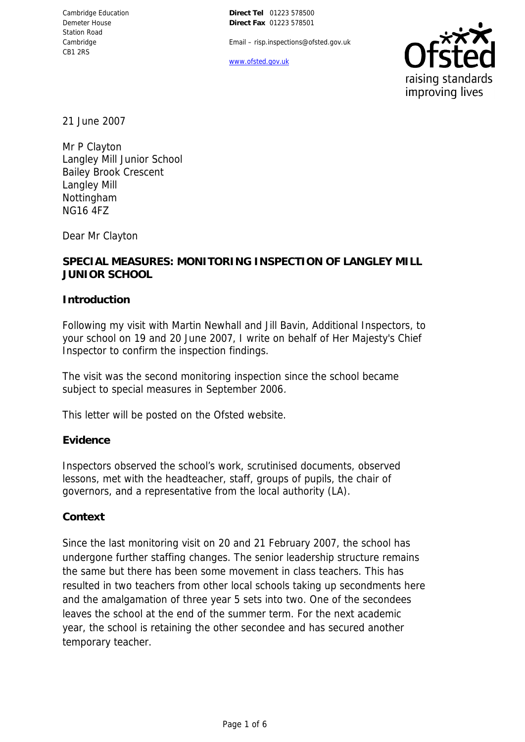Email – risp.inspections@ofsted.gov.uk

www.ofsted.gov.uk



21 June 2007

Mr P Clayton Langley Mill Junior School Bailey Brook Crescent Langley Mill Nottingham NG16 4FZ

Dear Mr Clayton

## **SPECIAL MEASURES: MONITORING INSPECTION OF LANGLEY MILL JUNIOR SCHOOL**

**Introduction**

Following my visit with Martin Newhall and Jill Bavin, Additional Inspectors, to your school on 19 and 20 June 2007, I write on behalf of Her Majesty's Chief Inspector to confirm the inspection findings.

The visit was the second monitoring inspection since the school became subject to special measures in September 2006.

This letter will be posted on the Ofsted website.

### **Evidence**

Inspectors observed the school's work, scrutinised documents, observed lessons, met with the headteacher, staff, groups of pupils, the chair of governors, and a representative from the local authority (LA).

### **Context**

Since the last monitoring visit on 20 and 21 February 2007, the school has undergone further staffing changes. The senior leadership structure remains the same but there has been some movement in class teachers. This has resulted in two teachers from other local schools taking up secondments here and the amalgamation of three year 5 sets into two. One of the secondees leaves the school at the end of the summer term. For the next academic year, the school is retaining the other secondee and has secured another temporary teacher.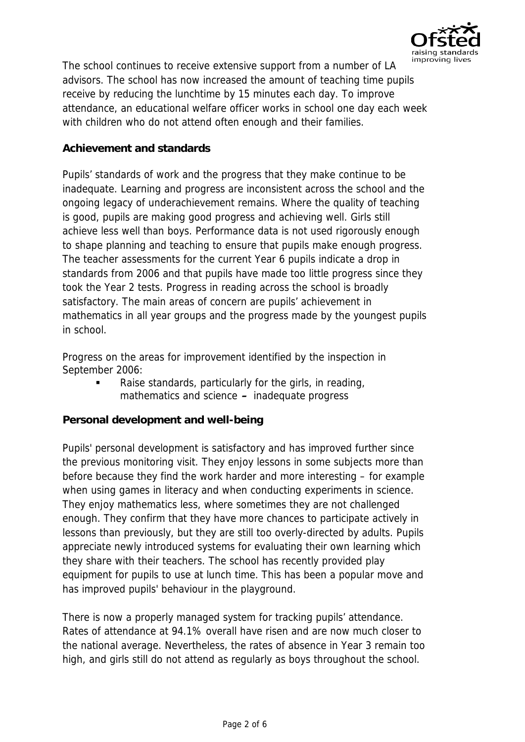

The school continues to receive extensive support from a number of LA advisors. The school has now increased the amount of teaching time pupils receive by reducing the lunchtime by 15 minutes each day. To improve attendance, an educational welfare officer works in school one day each week with children who do not attend often enough and their families.

## **Achievement and standards**

Pupils' standards of work and the progress that they make continue to be inadequate. Learning and progress are inconsistent across the school and the ongoing legacy of underachievement remains. Where the quality of teaching is good, pupils are making good progress and achieving well. Girls still achieve less well than boys. Performance data is not used rigorously enough to shape planning and teaching to ensure that pupils make enough progress. The teacher assessments for the current Year 6 pupils indicate a drop in standards from 2006 and that pupils have made too little progress since they took the Year 2 tests. Progress in reading across the school is broadly satisfactory. The main areas of concern are pupils' achievement in mathematics in all year groups and the progress made by the youngest pupils in school.

Progress on the areas for improvement identified by the inspection in September 2006:

 Raise standards, particularly for the girls, in reading, mathematics and science **–** inadequate progress

**Personal development and well-being**

Pupils' personal development is satisfactory and has improved further since the previous monitoring visit. They enjoy lessons in some subjects more than before because they find the work harder and more interesting – for example when using games in literacy and when conducting experiments in science. They enjoy mathematics less, where sometimes they are not challenged enough. They confirm that they have more chances to participate actively in lessons than previously, but they are still too overly-directed by adults. Pupils appreciate newly introduced systems for evaluating their own learning which they share with their teachers. The school has recently provided play equipment for pupils to use at lunch time. This has been a popular move and has improved pupils' behaviour in the playground.

There is now a properly managed system for tracking pupils' attendance. Rates of attendance at 94.1% overall have risen and are now much closer to the national average. Nevertheless, the rates of absence in Year 3 remain too high, and girls still do not attend as regularly as boys throughout the school.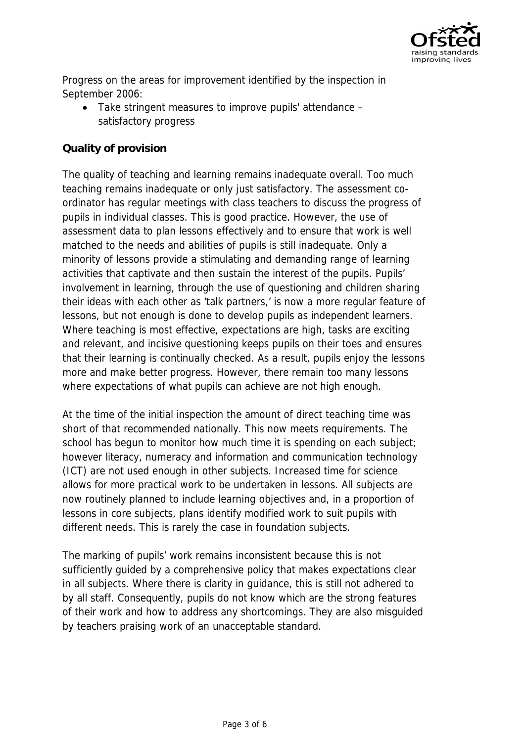

Progress on the areas for improvement identified by the inspection in September 2006:

 Take stringent measures to improve pupils' attendance – satisfactory progress

# **Quality of provision**

The quality of teaching and learning remains inadequate overall. Too much teaching remains inadequate or only just satisfactory. The assessment coordinator has regular meetings with class teachers to discuss the progress of pupils in individual classes. This is good practice. However, the use of assessment data to plan lessons effectively and to ensure that work is well matched to the needs and abilities of pupils is still inadequate. Only a minority of lessons provide a stimulating and demanding range of learning activities that captivate and then sustain the interest of the pupils. Pupils' involvement in learning, through the use of questioning and children sharing their ideas with each other as 'talk partners,' is now a more regular feature of lessons, but not enough is done to develop pupils as independent learners. Where teaching is most effective, expectations are high, tasks are exciting and relevant, and incisive questioning keeps pupils on their toes and ensures that their learning is continually checked. As a result, pupils enjoy the lessons more and make better progress. However, there remain too many lessons where expectations of what pupils can achieve are not high enough.

At the time of the initial inspection the amount of direct teaching time was short of that recommended nationally. This now meets requirements. The school has begun to monitor how much time it is spending on each subject; however literacy, numeracy and information and communication technology (ICT) are not used enough in other subjects. Increased time for science allows for more practical work to be undertaken in lessons. All subjects are now routinely planned to include learning objectives and, in a proportion of lessons in core subjects, plans identify modified work to suit pupils with different needs. This is rarely the case in foundation subjects.

The marking of pupils' work remains inconsistent because this is not sufficiently guided by a comprehensive policy that makes expectations clear in all subjects. Where there is clarity in guidance, this is still not adhered to by all staff. Consequently, pupils do not know which are the strong features of their work and how to address any shortcomings. They are also misguided by teachers praising work of an unacceptable standard.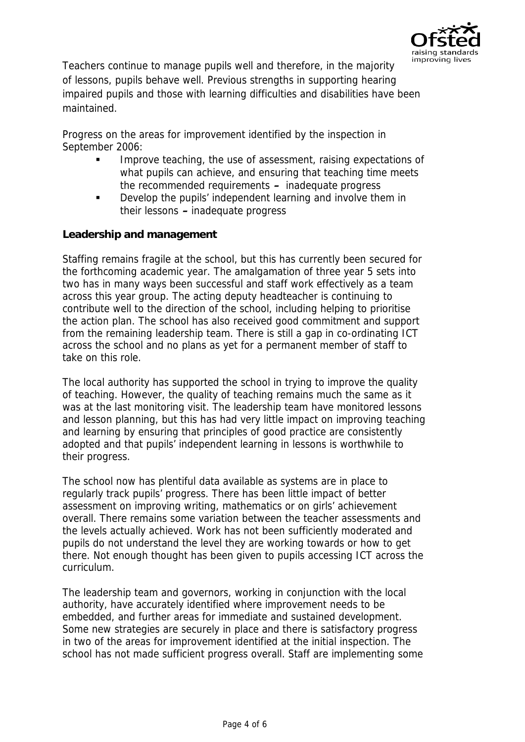

Teachers continue to manage pupils well and therefore, in the majority of lessons, pupils behave well. Previous strengths in supporting hearing impaired pupils and those with learning difficulties and disabilities have been maintained.

Progress on the areas for improvement identified by the inspection in September 2006:

- Improve teaching, the use of assessment, raising expectations of what pupils can achieve, and ensuring that teaching time meets the recommended requirements **–** inadequate progress
- **•** Develop the pupils' independent learning and involve them in their lessons **–** inadequate progress

**Leadership and management**

Staffing remains fragile at the school, but this has currently been secured for the forthcoming academic year. The amalgamation of three year 5 sets into two has in many ways been successful and staff work effectively as a team across this year group. The acting deputy headteacher is continuing to contribute well to the direction of the school, including helping to prioritise the action plan. The school has also received good commitment and support from the remaining leadership team. There is still a gap in co-ordinating ICT across the school and no plans as yet for a permanent member of staff to take on this role.

The local authority has supported the school in trying to improve the quality of teaching. However, the quality of teaching remains much the same as it was at the last monitoring visit. The leadership team have monitored lessons and lesson planning, but this has had very little impact on improving teaching and learning by ensuring that principles of good practice are consistently adopted and that pupils' independent learning in lessons is worthwhile to their progress.

The school now has plentiful data available as systems are in place to regularly track pupils' progress. There has been little impact of better assessment on improving writing, mathematics or on girls' achievement overall. There remains some variation between the teacher assessments and the levels actually achieved. Work has not been sufficiently moderated and pupils do not understand the level they are working towards or how to get there. Not enough thought has been given to pupils accessing ICT across the curriculum.

The leadership team and governors, working in conjunction with the local authority, have accurately identified where improvement needs to be embedded, and further areas for immediate and sustained development. Some new strategies are securely in place and there is satisfactory progress in two of the areas for improvement identified at the initial inspection. The school has not made sufficient progress overall. Staff are implementing some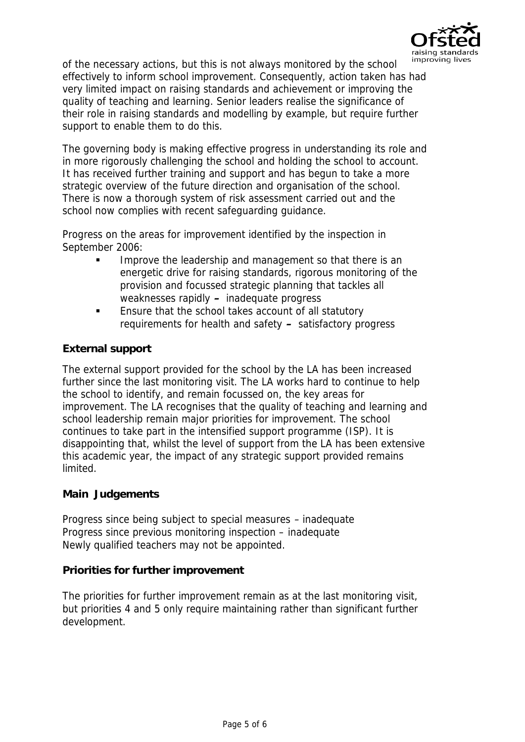

of the necessary actions, but this is not always monitored by the school effectively to inform school improvement. Consequently, action taken has had very limited impact on raising standards and achievement or improving the quality of teaching and learning. Senior leaders realise the significance of their role in raising standards and modelling by example, but require further support to enable them to do this.

The governing body is making effective progress in understanding its role and in more rigorously challenging the school and holding the school to account. It has received further training and support and has begun to take a more strategic overview of the future direction and organisation of the school. There is now a thorough system of risk assessment carried out and the school now complies with recent safeguarding guidance.

Progress on the areas for improvement identified by the inspection in September 2006:

- Improve the leadership and management so that there is an energetic drive for raising standards, rigorous monitoring of the provision and focussed strategic planning that tackles all weaknesses rapidly **–** inadequate progress
- **Ensure that the school takes account of all statutory** requirements for health and safety **–** satisfactory progress

## **External support**

The external support provided for the school by the LA has been increased further since the last monitoring visit. The LA works hard to continue to help the school to identify, and remain focussed on, the key areas for improvement. The LA recognises that the quality of teaching and learning and school leadership remain major priorities for improvement. The school continues to take part in the intensified support programme (ISP). It is disappointing that, whilst the level of support from the LA has been extensive this academic year, the impact of any strategic support provided remains limited.

### **Main Judgements**

Progress since being subject to special measures – inadequate Progress since previous monitoring inspection – inadequate Newly qualified teachers may not be appointed.

### **Priorities for further improvement**

The priorities for further improvement remain as at the last monitoring visit, but priorities 4 and 5 only require maintaining rather than significant further development.